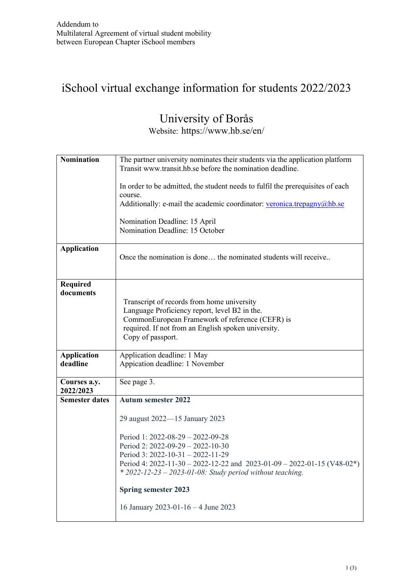## iSchool virtual exchange information for students 2022/2023

# University of Borås

Website: https://www.hb.se/en/

| <b>Nomination</b>              | The partner university nominates their students via the application platform<br>Transit www.transit.hb.se before the nomination deadline.                                                                                                                                  |  |  |  |  |  |  |
|--------------------------------|----------------------------------------------------------------------------------------------------------------------------------------------------------------------------------------------------------------------------------------------------------------------------|--|--|--|--|--|--|
|                                | In order to be admitted, the student needs to fulfil the prerequisites of each<br>course.<br>Additionally: e-mail the academic coordinator: veronica.trepagny@hb.se                                                                                                        |  |  |  |  |  |  |
|                                | Nomination Deadline: 15 April<br>Nomination Deadline: 15 October                                                                                                                                                                                                           |  |  |  |  |  |  |
| <b>Application</b>             | Once the nomination is done the nominated students will receive                                                                                                                                                                                                            |  |  |  |  |  |  |
| <b>Required</b><br>documents   | Transcript of records from home university<br>Language Proficiency report, level B2 in the.<br>CommonEuropean Framework of reference (CEFR) is<br>required. If not from an English spoken university.<br>Copy of passport.                                                 |  |  |  |  |  |  |
| <b>Application</b><br>deadline | Application deadline: 1 May<br>Appication deadline: 1 November                                                                                                                                                                                                             |  |  |  |  |  |  |
| Courses a.y.<br>2022/2023      | See page 3.                                                                                                                                                                                                                                                                |  |  |  |  |  |  |
| <b>Semester dates</b>          | <b>Autum semester 2022</b>                                                                                                                                                                                                                                                 |  |  |  |  |  |  |
|                                | 29 august 2022-15 January 2023                                                                                                                                                                                                                                             |  |  |  |  |  |  |
|                                | Period 1: 2022-08-29 - 2022-09-28<br>Period 2: $2022-09-29 - 2022-10-30$<br>Period 3: $2022 - 10 - 31 - 2022 - 11 - 29$<br>Period 4: 2022-11-30 - 2022-12-22 and 2023-01-09 - 2022-01-15 (V48-02*)<br>* $2022 - 12 - 23 - 2023 - 01 - 08$ : Study period without teaching. |  |  |  |  |  |  |
|                                | <b>Spring semester 2023</b>                                                                                                                                                                                                                                                |  |  |  |  |  |  |
|                                | 16 January 2023-01-16 - 4 June 2023                                                                                                                                                                                                                                        |  |  |  |  |  |  |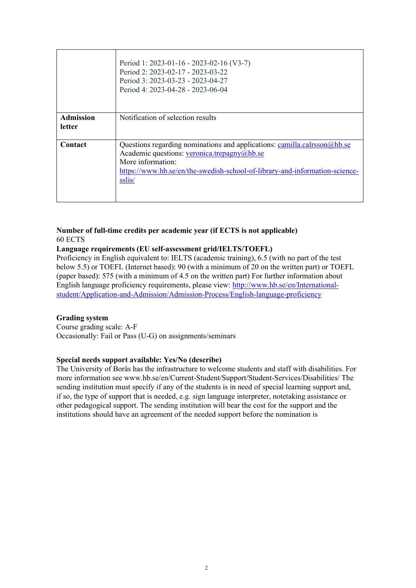|                            | Period 1: 2023-01-16 - 2023-02-16 (V3-7)<br>Period 2: 2023-02-17 - 2023-03-22<br>Period 3: 2023-03-23 - 2023-04-27<br>Period 4: 2023-04-28 - 2023-06-04                                                                               |
|----------------------------|---------------------------------------------------------------------------------------------------------------------------------------------------------------------------------------------------------------------------------------|
| <b>Admission</b><br>letter | Notification of selection results                                                                                                                                                                                                     |
| Contact                    | Questions regarding nominations and applications: camilla.calrsson@hb.se<br>Academic questions: veronica.trepagny@hb.se<br>More information:<br>https://www.hb.se/en/the-swedish-school-of-library-and-information-science-<br>sslis/ |

## **Number of full-time credits per academic year (if ECTS is not applicable)** 60 ECTS

### **Language requirements (EU self-assessment grid/IELTS/TOEFL)**

Proficiency in English equivalent to: IELTS (academic training), 6.5 (with no part of the test below 5.5) or TOEFL (Internet based): 90 (with a minimum of 20 on the written part) or TOEFL (paper based): 575 (with a minimum of 4.5 on the written part) For further information about English language proficiency requirements, please view: [http://www.hb.se/en/International](http://www.hb.se/en/International-student/Application-and-Admission/Admission-Process/English-language-proficiency)[student/Application-and-Admission/Admission-Process/English-language-proficiency](http://www.hb.se/en/International-student/Application-and-Admission/Admission-Process/English-language-proficiency)

#### **Grading system**

Course grading scale: A-F Occasionally: Fail or Pass (U-G) on assignments/seminars

#### **Special needs support available: Yes/No (describe)**

The University of Borås has the infrastructure to welcome students and staff with disabilities. For more information see www.hb.se/en/Current-Student/Support/Student-Services/Disabilities/ The sending institution must specify if any of the students is in need of special learning support and, if so, the type of support that is needed, e.g. sign language interpreter, notetaking assistance or other pedagogical support. The sending institution will bear the cost for the support and the institutions should have an agreement of the needed support before the nomination is